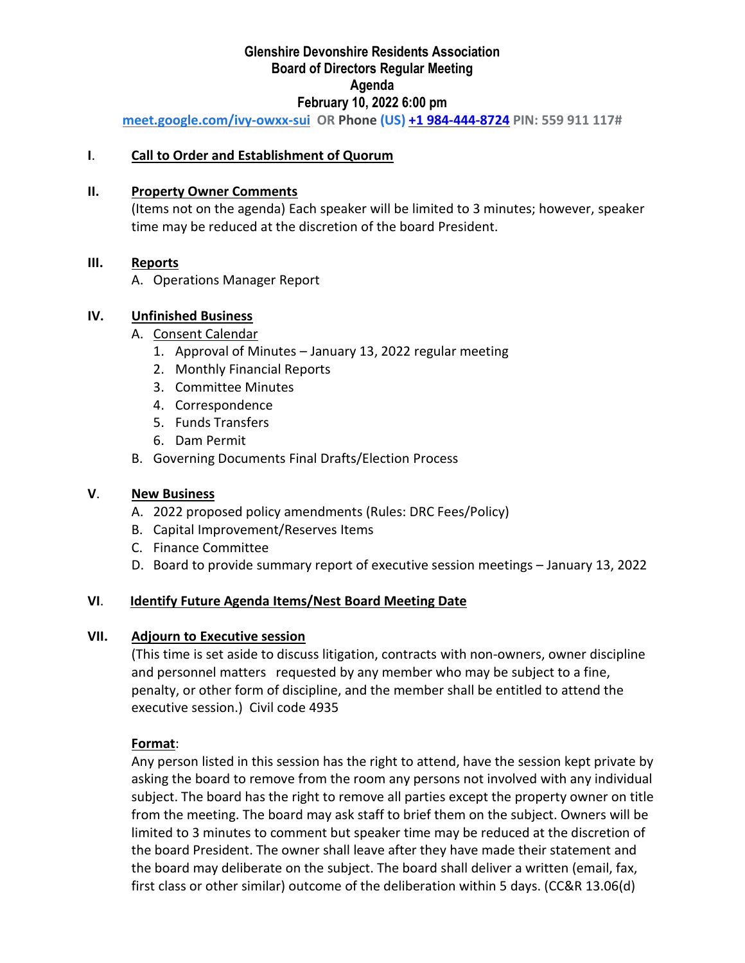# **Glenshire Devonshire Residents Association Board of Directors Regular Meeting Agenda February 10, 2022 6:00 pm**

**[meet.google.com/ivy-owxx-sui](https://meet.google.com/ivy-owxx-sui?hs=122&authuser=0) OR Phone (US) +1 984-444-[8724](tel:%E2%80%AA+1%20984-444-8724%E2%80%AC) PIN: 559 911 117#**

#### **I**. **Call to Order and Establishment of Quorum**

#### **II. Property Owner Comments**

(Items not on the agenda) Each speaker will be limited to 3 minutes; however, speaker time may be reduced at the discretion of the board President.

#### **III. Reports**

A. Operations Manager Report

### **IV. Unfinished Business**

#### A. Consent Calendar

- 1. Approval of Minutes January 13, 2022 regular meeting
- 2. Monthly Financial Reports
- 3. Committee Minutes
- 4. Correspondence
- 5. Funds Transfers
- 6. Dam Permit
- B. Governing Documents Final Drafts/Election Process

#### **V**. **New Business**

- A. 2022 proposed policy amendments (Rules: DRC Fees/Policy)
- B. Capital Improvement/Reserves Items
- C. Finance Committee
- D. Board to provide summary report of executive session meetings January 13, 2022

#### **VI**. **Identify Future Agenda Items/Nest Board Meeting Date**

#### **VII. Adjourn to Executive session**

(This time is set aside to discuss litigation, contracts with non-owners, owner discipline and personnel matters requested by any member who may be subject to a fine, penalty, or other form of discipline, and the member shall be entitled to attend the executive session.) Civil code 4935

#### **Format**:

Any person listed in this session has the right to attend, have the session kept private by asking the board to remove from the room any persons not involved with any individual subject. The board has the right to remove all parties except the property owner on title from the meeting. The board may ask staff to brief them on the subject. Owners will be limited to 3 minutes to comment but speaker time may be reduced at the discretion of the board President. The owner shall leave after they have made their statement and the board may deliberate on the subject. The board shall deliver a written (email, fax, first class or other similar) outcome of the deliberation within 5 days. (CC&R 13.06(d)